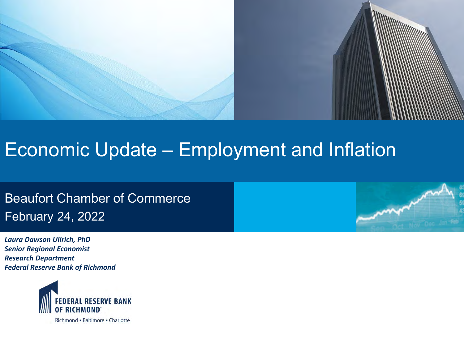

# Economic Update – Employment and Inflation

Beaufort Chamber of Commerce February 24, 2022

*Laura Dawson Ullrich, PhD Senior Regional Economist Research Department Federal Reserve Bank of Richmond*

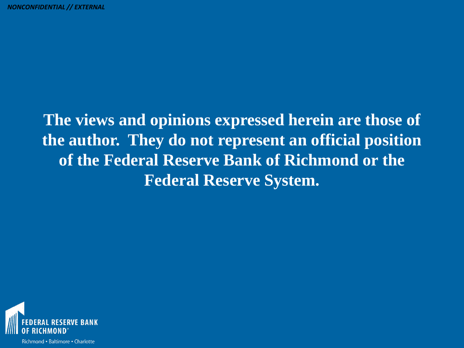## **The views and opinions expressed herein are those of the author. They do not represent an official position of the Federal Reserve Bank of Richmond or the Federal Reserve System.**

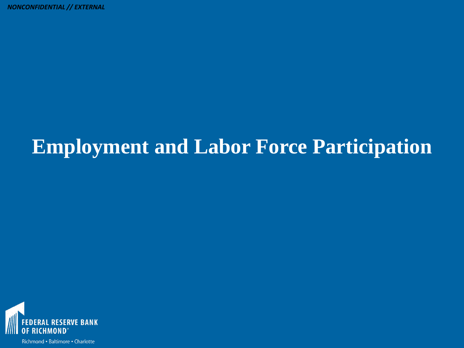# **Employment and Labor Force Participation**

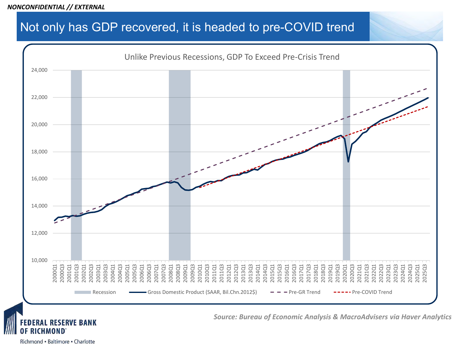#### Not only has GDP recovered, it is headed to pre-COVID trend



**DERAL RESERVE BANK** ICHMOND

*Source: Bureau of Economic Analysis & MacroAdvisers via Haver Analytics*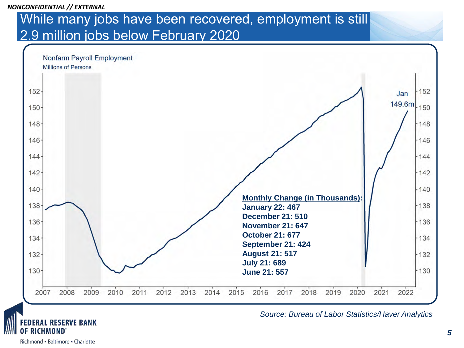### While many jobs have been recovered, employment is still 2.9 million jobs below February 2020



*Source: Bureau of Labor Statistics/Haver Analytics*

Richmond - Baltimore - Charlotte

ICHMOND

**ERAL RESERVE BANK**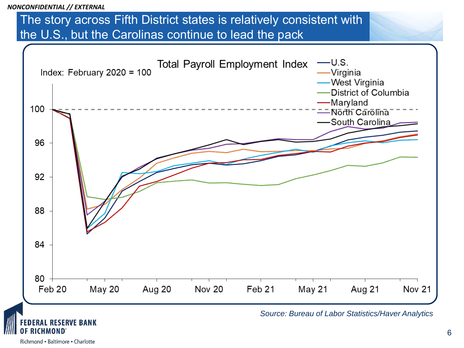#### The story across Fifth District states is relatively consistent with the U.S., but the Carolinas continue to lead the pack

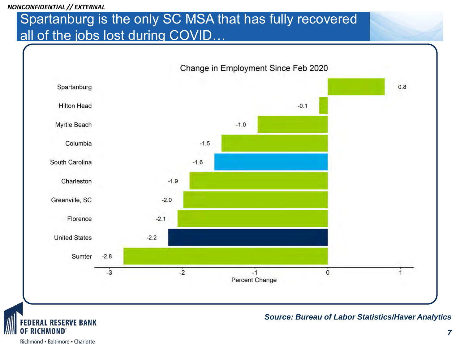### Spartanburg is the only SC MSA that has fully recovered all of the jobs lost during COVID...

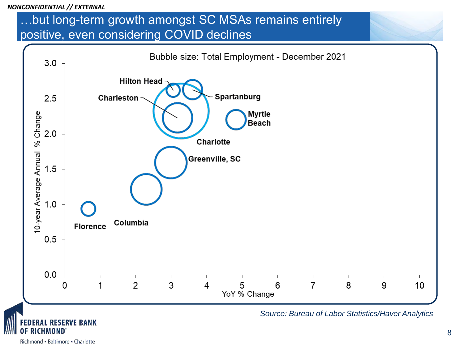### …but long-term growth amongst SC MSAs remains entirely positive, even considering COVID declines

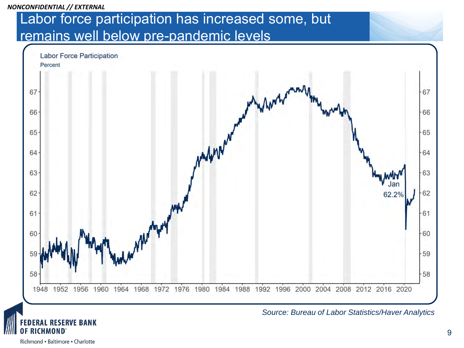### Labor force participation has increased some, but remains well below pre-pandemic levels





**ESERVE BANK**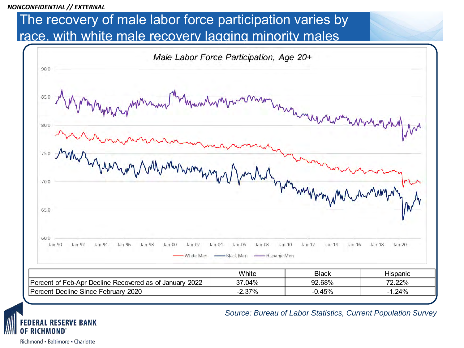### The recovery of male labor force participation varies by race, with white male recovery lagging minority males



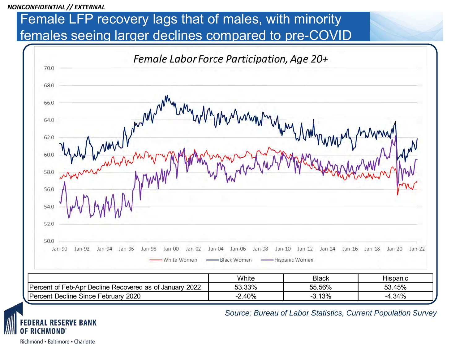### Female LFP recovery lags that of males, with minority females seeing larger declines compared to pre-COVID



Richmond - Baltimore - Charlotte

ICHMOND

**ESERVE BANK**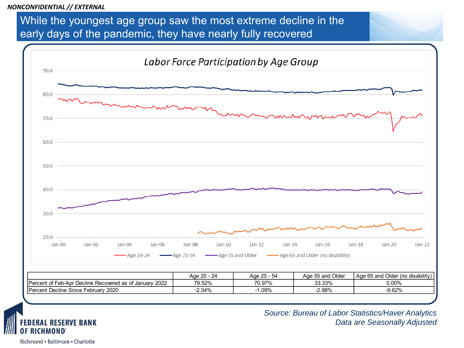While the youngest age group saw the most extreme decline in the early days of the pandemic, they have nearly fully recovered



*Source: Bureau of Labor Statistics/Haver Analytics Data are Seasonally Adjusted*

Richmond - Baltimore - Charlotte

**RICHMOND** 

**DERAL RESERVE BANK**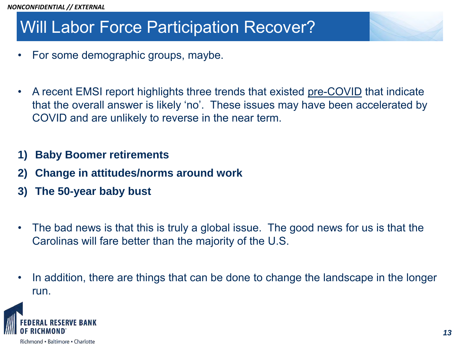## Will Labor Force Participation Recover?

- For some demographic groups, maybe.
- A recent EMSI report highlights three trends that existed pre-COVID that indicate that the overall answer is likely 'no'. These issues may have been accelerated by COVID and are unlikely to reverse in the near term.
- **1) Baby Boomer retirements**
- **2) Change in attitudes/norms around work**
- **3) The 50-year baby bust**
- The bad news is that this is truly a global issue. The good news for us is that the Carolinas will fare better than the majority of the U.S.
- In addition, there are things that can be done to change the landscape in the longer run.

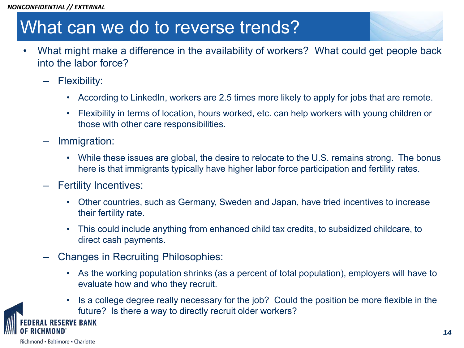## What can we do to reverse trends?

- What might make a difference in the availability of workers? What could get people back into the labor force?
	- Flexibility:
		- According to LinkedIn, workers are 2.5 times more likely to apply for jobs that are remote.
		- Flexibility in terms of location, hours worked, etc. can help workers with young children or those with other care responsibilities.
	- Immigration:
		- While these issues are global, the desire to relocate to the U.S. remains strong. The bonus here is that immigrants typically have higher labor force participation and fertility rates.
	- Fertility Incentives:
		- Other countries, such as Germany, Sweden and Japan, have tried incentives to increase their fertility rate.
		- This could include anything from enhanced child tax credits, to subsidized childcare, to direct cash payments.
	- Changes in Recruiting Philosophies:
		- As the working population shrinks (as a percent of total population), employers will have to evaluate how and who they recruit.
		- Is a college degree really necessary for the job? Could the position be more flexible in the future? Is there a way to directly recruit older workers?

**RVE BANK**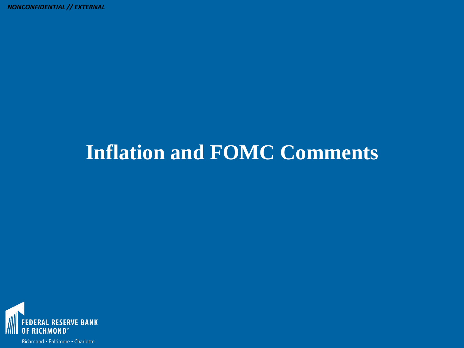# **Inflation and FOMC Comments**

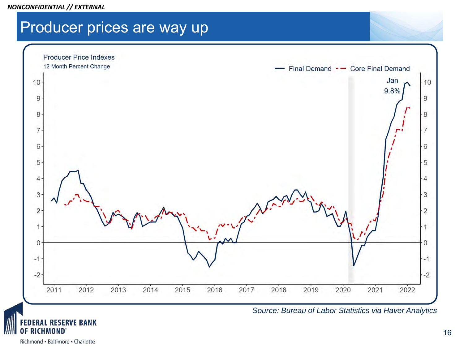Richmond - Baltimore - Charlotte

ICHMOND

#### *NONCONFIDENTIAL // EXTERNAL*

### Producer prices are way up

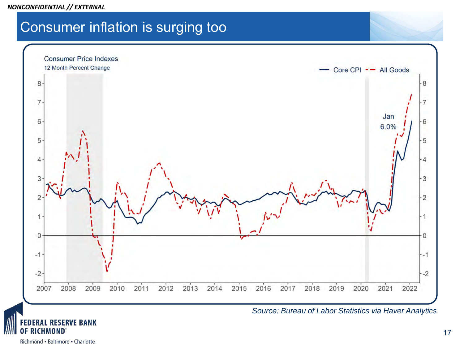*NONCONFIDENTIAL // EXTERNAL*

### Consumer inflation is surging too





ICHMOND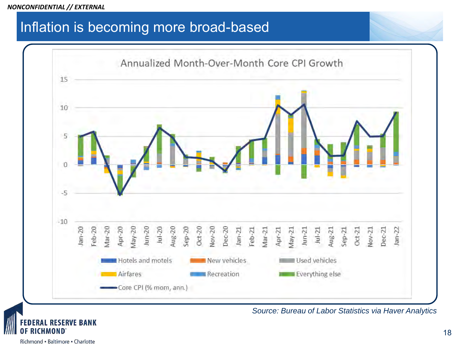### Inflation is becoming more broad-based



*Source: Bureau of Labor Statistics via Haver Analytics*

CHMOND

**RAL RESERVE BANK**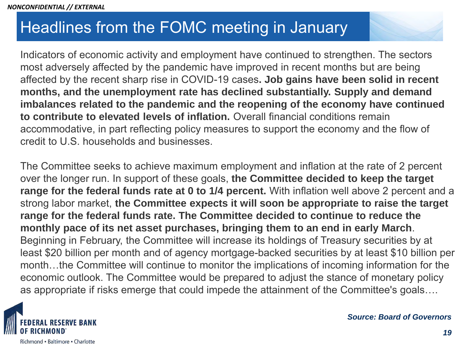## Headlines from the FOMC meeting in January

Indicators of economic activity and employment have continued to strengthen. The sectors most adversely affected by the pandemic have improved in recent months but are being affected by the recent sharp rise in COVID-19 cases**. Job gains have been solid in recent months, and the unemployment rate has declined substantially. Supply and demand imbalances related to the pandemic and the reopening of the economy have continued to contribute to elevated levels of inflation.** Overall financial conditions remain accommodative, in part reflecting policy measures to support the economy and the flow of credit to U.S. households and businesses.

The Committee seeks to achieve maximum employment and inflation at the rate of 2 percent over the longer run. In support of these goals, **the Committee decided to keep the target range for the federal funds rate at 0 to 1/4 percent.** With inflation well above 2 percent and a strong labor market, **the Committee expects it will soon be appropriate to raise the target range for the federal funds rate. The Committee decided to continue to reduce the monthly pace of its net asset purchases, bringing them to an end in early March**. Beginning in February, the Committee will increase its holdings of Treasury securities by at least \$20 billion per month and of agency mortgage-backed securities by at least \$10 billion per month…the Committee will continue to monitor the implications of incoming information for the economic outlook. The Committee would be prepared to adjust the stance of monetary policy as appropriate if risks emerge that could impede the attainment of the Committee's goals….



*Source: Board of Governors*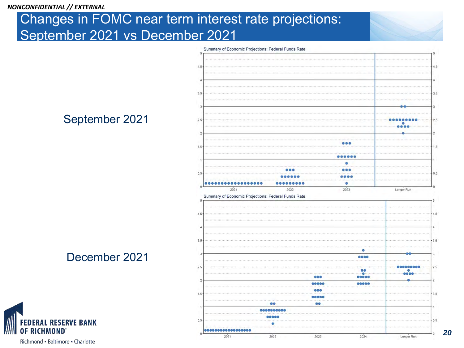### Changes in FOMC near term interest rate projections: September 2021 vs December 2021



#### September 2021

December 2021